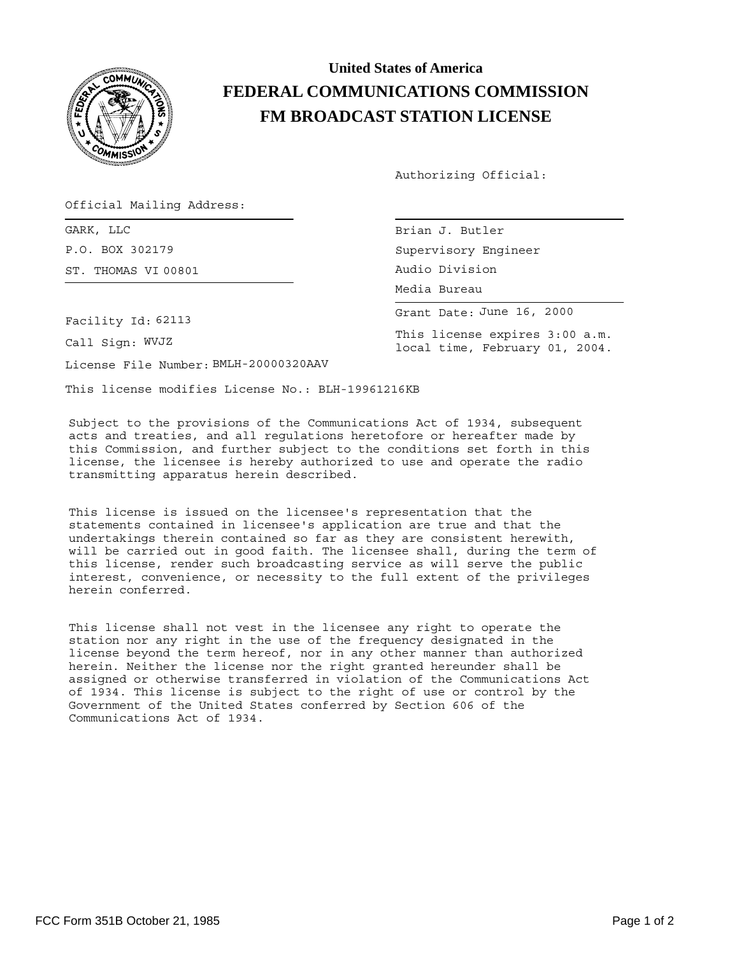

## **United States of America FEDERAL COMMUNICATIONS COMMISSION FM BROADCAST STATION LICENSE**

Authorizing Official:

Official Mailing Address:

GARK, LLC Brian Brian Brian Brian Brian Brian Brian Brian Brian Brian Brian Brian Brian Brian Brian Brian Brian Brian Brian Brian Brian Brian Brian Brian Brian Brian Brian Brian Brian Brian Brian Brian Brian Brian Brian Br P.O. BOX 302179 ST. THOMAS VI 00801

Facility Id: 62113

Call Sign: WVJZ

License File Number: BMLH-20000320AAV

This license modifies License No.: BLH-19961216KB

Subject to the provisions of the Communications Act of 1934, subsequent acts and treaties, and all regulations heretofore or hereafter made by this Commission, and further subject to the conditions set forth in this license, the licensee is hereby authorized to use and operate the radio transmitting apparatus herein described.

This license is issued on the licensee's representation that the statements contained in licensee's application are true and that the undertakings therein contained so far as they are consistent herewith, will be carried out in good faith. The licensee shall, during the term of this license, render such broadcasting service as will serve the public interest, convenience, or necessity to the full extent of the privileges herein conferred.

This license shall not vest in the licensee any right to operate the station nor any right in the use of the frequency designated in the license beyond the term hereof, nor in any other manner than authorized herein. Neither the license nor the right granted hereunder shall be assigned or otherwise transferred in violation of the Communications Act of 1934. This license is subject to the right of use or control by the Government of the United States conferred by Section 606 of the Communications Act of 1934.

| Brian J. Butler      |
|----------------------|
| Supervisory Engineer |
| Audio Division       |
| Media Bureau         |

Grant Date: June 16, 2000

This license expires 3:00 a.m. local time, February 01, 2004.